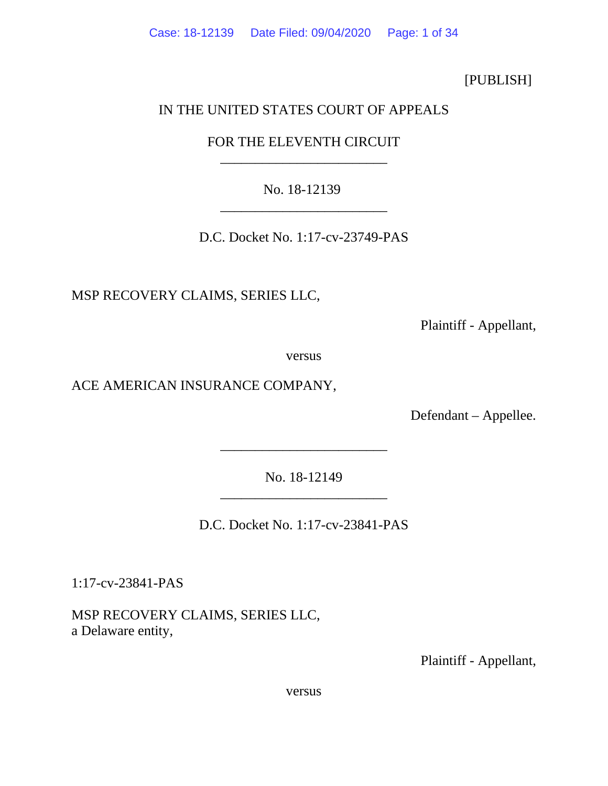Case: 18-12139 Date Filed: 09/04/2020 Page: 1 of 34

[PUBLISH]

# IN THE UNITED STATES COURT OF APPEALS

FOR THE ELEVENTH CIRCUIT \_\_\_\_\_\_\_\_\_\_\_\_\_\_\_\_\_\_\_\_\_\_\_\_

No. 18-12139 \_\_\_\_\_\_\_\_\_\_\_\_\_\_\_\_\_\_\_\_\_\_\_\_

D.C. Docket No. 1:17-cv-23749-PAS

MSP RECOVERY CLAIMS, SERIES LLC,

Plaintiff - Appellant,

versus

ACE AMERICAN INSURANCE COMPANY,

Defendant – Appellee.

No. 18-12149 \_\_\_\_\_\_\_\_\_\_\_\_\_\_\_\_\_\_\_\_\_\_\_\_

\_\_\_\_\_\_\_\_\_\_\_\_\_\_\_\_\_\_\_\_\_\_\_\_

D.C. Docket No. 1:17-cv-23841-PAS

1:17-cv-23841-PAS

MSP RECOVERY CLAIMS, SERIES LLC, a Delaware entity,

Plaintiff - Appellant,

versus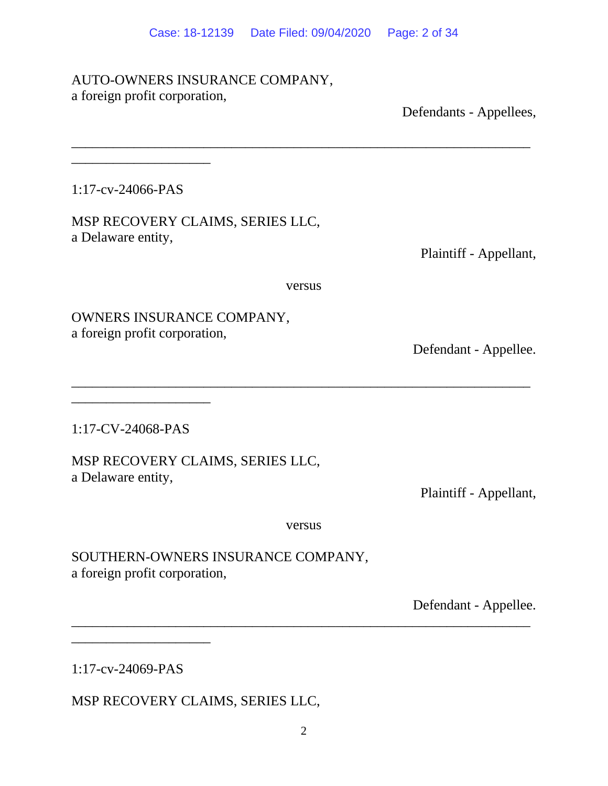\_\_\_\_\_\_\_\_\_\_\_\_\_\_\_\_\_\_\_\_\_\_\_\_\_\_\_\_\_\_\_\_\_\_\_\_\_\_\_\_\_\_\_\_\_\_\_\_\_\_\_\_\_\_\_\_\_\_\_\_\_\_\_\_\_\_

# AUTO-OWNERS INSURANCE COMPANY, a foreign profit corporation,

Defendants - Appellees,

1:17-cv-24066-PAS

\_\_\_\_\_\_\_\_\_\_\_\_\_\_\_\_\_\_\_\_

MSP RECOVERY CLAIMS, SERIES LLC, a Delaware entity,

Plaintiff - Appellant,

versus

 $\overline{\phantom{a}}$  , and the contribution of the contribution of the contribution of the contribution of the contribution of the contribution of the contribution of the contribution of the contribution of the contribution of the

OWNERS INSURANCE COMPANY, a foreign profit corporation,

Defendant - Appellee.

1:17-CV-24068-PAS

\_\_\_\_\_\_\_\_\_\_\_\_\_\_\_\_\_\_\_\_

MSP RECOVERY CLAIMS, SERIES LLC, a Delaware entity,

Plaintiff - Appellant,

versus

 $\overline{a}$  , and the contribution of the contribution of the contribution of the contribution of the contribution of the contribution of the contribution of the contribution of the contribution of the contribution of the co

SOUTHERN-OWNERS INSURANCE COMPANY, a foreign profit corporation,

Defendant - Appellee.

1:17-cv-24069-PAS

\_\_\_\_\_\_\_\_\_\_\_\_\_\_\_\_\_\_\_\_

MSP RECOVERY CLAIMS, SERIES LLC,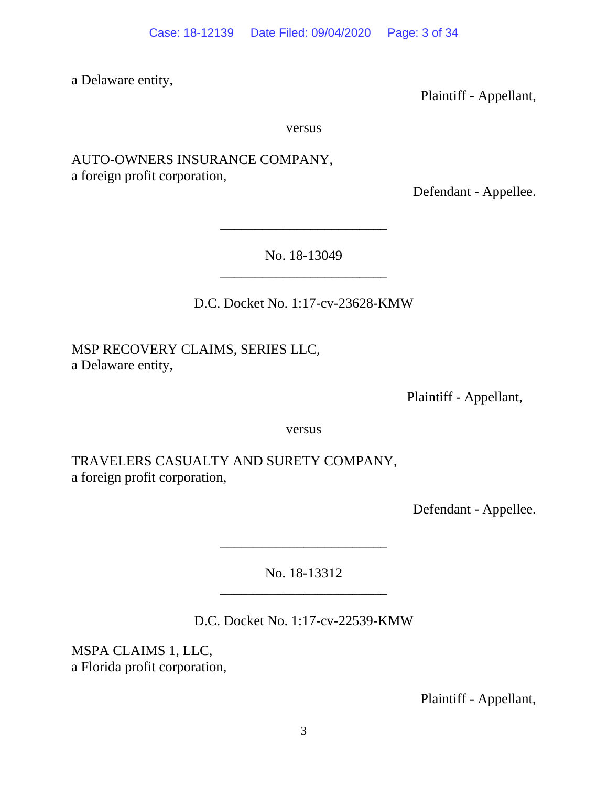a Delaware entity,

Plaintiff - Appellant,

versus

AUTO-OWNERS INSURANCE COMPANY, a foreign profit corporation,

Defendant - Appellee.

No. 18-13049 \_\_\_\_\_\_\_\_\_\_\_\_\_\_\_\_\_\_\_\_\_\_\_\_

\_\_\_\_\_\_\_\_\_\_\_\_\_\_\_\_\_\_\_\_\_\_\_\_

D.C. Docket No. 1:17-cv-23628-KMW

MSP RECOVERY CLAIMS, SERIES LLC, a Delaware entity,

Plaintiff - Appellant,

versus

TRAVELERS CASUALTY AND SURETY COMPANY, a foreign profit corporation,

Defendant - Appellee.

No. 18-13312

 $\mathcal{L}_\text{max}$  , where  $\mathcal{L}_\text{max}$ 

\_\_\_\_\_\_\_\_\_\_\_\_\_\_\_\_\_\_\_\_\_\_\_\_

D.C. Docket No. 1:17-cv-22539-KMW

MSPA CLAIMS 1, LLC, a Florida profit corporation,

Plaintiff - Appellant,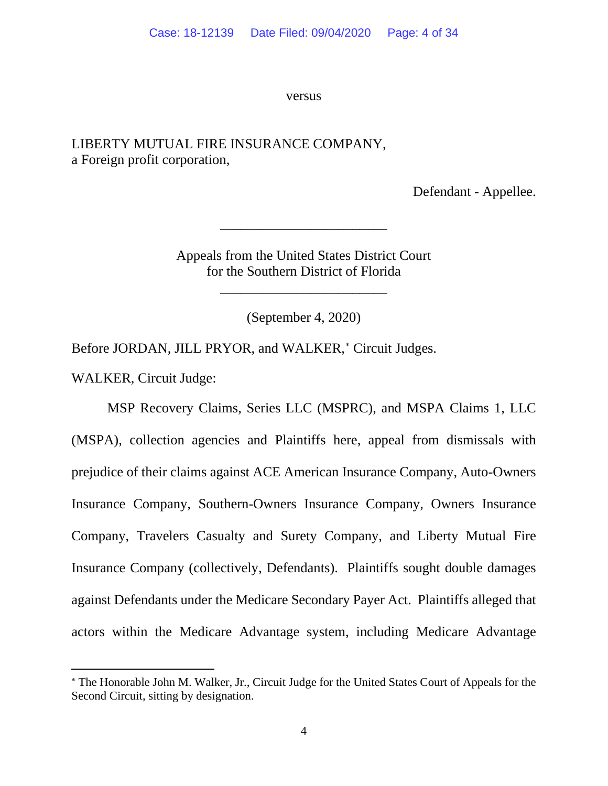versus

# LIBERTY MUTUAL FIRE INSURANCE COMPANY, a Foreign profit corporation,

Defendant - Appellee.

Appeals from the United States District Court for the Southern District of Florida

\_\_\_\_\_\_\_\_\_\_\_\_\_\_\_\_\_\_\_\_\_\_\_\_

\_\_\_\_\_\_\_\_\_\_\_\_\_\_\_\_\_\_\_\_\_\_\_\_

(September 4, 2020)

Before JORDAN, JILL PRYOR, and WALKER,<sup>\*</sup> Circuit Judges.

WALKER, Circuit Judge:

MSP Recovery Claims, Series LLC (MSPRC), and MSPA Claims 1, LLC (MSPA), collection agencies and Plaintiffs here, appeal from dismissals with prejudice of their claims against ACE American Insurance Company, Auto-Owners Insurance Company, Southern-Owners Insurance Company, Owners Insurance Company, Travelers Casualty and Surety Company, and Liberty Mutual Fire Insurance Company (collectively, Defendants). Plaintiffs sought double damages against Defendants under the Medicare Secondary Payer Act. Plaintiffs alleged that actors within the Medicare Advantage system, including Medicare Advantage

<span id="page-3-0"></span><sup>∗</sup> The Honorable John M. Walker, Jr., Circuit Judge for the United States Court of Appeals for the Second Circuit, sitting by designation.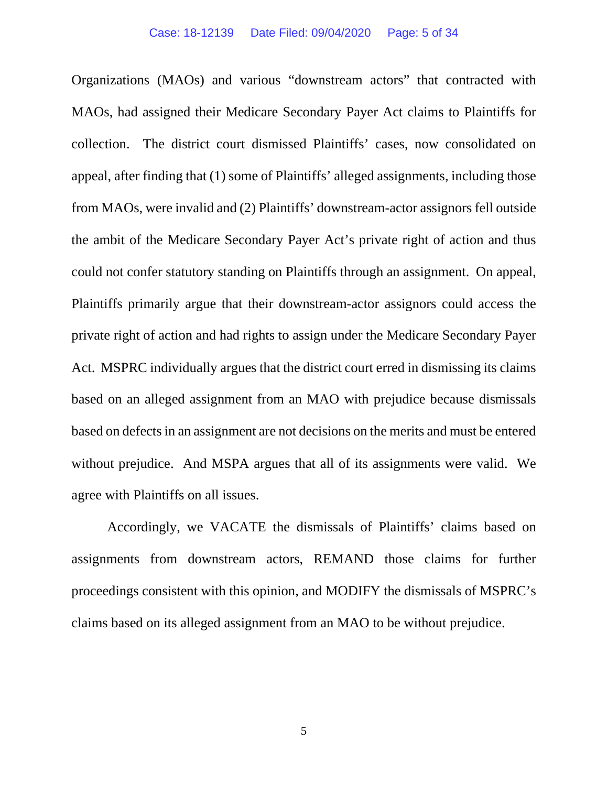Organizations (MAOs) and various "downstream actors" that contracted with MAOs, had assigned their Medicare Secondary Payer Act claims to Plaintiffs for collection. The district court dismissed Plaintiffs' cases, now consolidated on appeal, after finding that (1) some of Plaintiffs' alleged assignments, including those from MAOs, were invalid and (2) Plaintiffs' downstream-actor assignors fell outside the ambit of the Medicare Secondary Payer Act's private right of action and thus could not confer statutory standing on Plaintiffs through an assignment. On appeal, Plaintiffs primarily argue that their downstream-actor assignors could access the private right of action and had rights to assign under the Medicare Secondary Payer Act. MSPRC individually argues that the district court erred in dismissing its claims based on an alleged assignment from an MAO with prejudice because dismissals based on defects in an assignment are not decisions on the merits and must be entered without prejudice. And MSPA argues that all of its assignments were valid. We agree with Plaintiffs on all issues.

Accordingly, we VACATE the dismissals of Plaintiffs' claims based on assignments from downstream actors, REMAND those claims for further proceedings consistent with this opinion, and MODIFY the dismissals of MSPRC's claims based on its alleged assignment from an MAO to be without prejudice.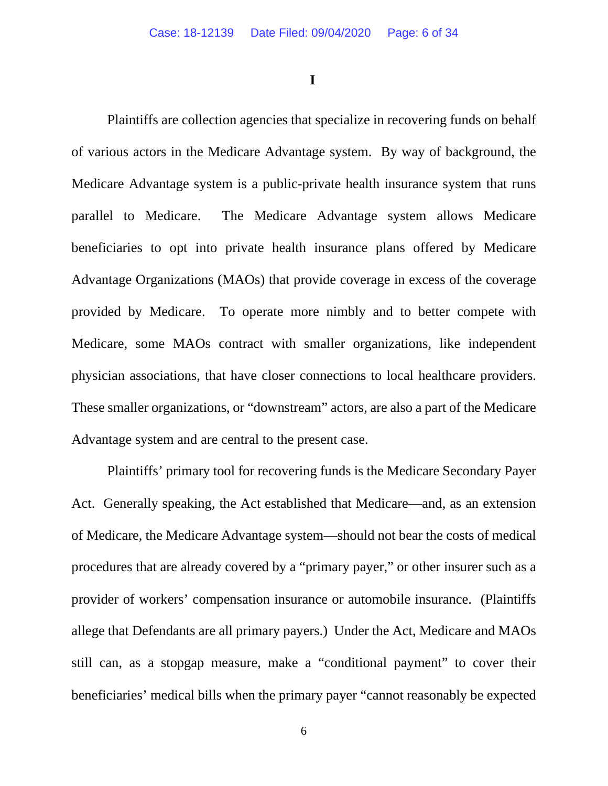**I**

Plaintiffs are collection agencies that specialize in recovering funds on behalf of various actors in the Medicare Advantage system. By way of background, the Medicare Advantage system is a public-private health insurance system that runs parallel to Medicare. The Medicare Advantage system allows Medicare beneficiaries to opt into private health insurance plans offered by Medicare Advantage Organizations (MAOs) that provide coverage in excess of the coverage provided by Medicare. To operate more nimbly and to better compete with Medicare, some MAOs contract with smaller organizations, like independent physician associations, that have closer connections to local healthcare providers. These smaller organizations, or "downstream" actors, are also a part of the Medicare Advantage system and are central to the present case.

Plaintiffs' primary tool for recovering funds is the Medicare Secondary Payer Act. Generally speaking, the Act established that Medicare—and, as an extension of Medicare, the Medicare Advantage system—should not bear the costs of medical procedures that are already covered by a "primary payer," or other insurer such as a provider of workers' compensation insurance or automobile insurance. (Plaintiffs allege that Defendants are all primary payers.) Under the Act, Medicare and MAOs still can, as a stopgap measure, make a "conditional payment" to cover their beneficiaries' medical bills when the primary payer "cannot reasonably be expected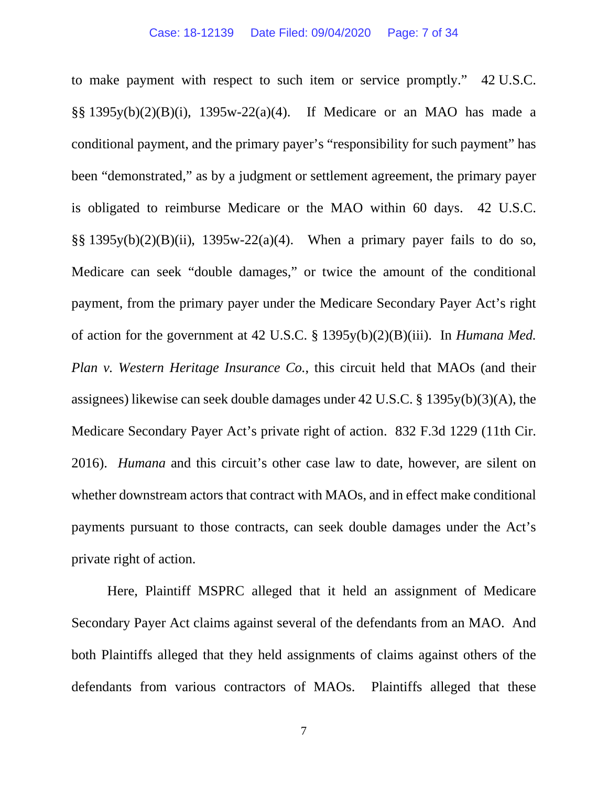to make payment with respect to such item or service promptly." 42 U.S.C. §§ 1395y(b)(2)(B)(i), 1395w-22(a)(4). If Medicare or an MAO has made a conditional payment, and the primary payer's "responsibility for such payment" has been "demonstrated," as by a judgment or settlement agreement, the primary payer is obligated to reimburse Medicare or the MAO within 60 days. 42 U.S.C. §§ 1395y(b)(2)(B)(ii), 1395w-22(a)(4). When a primary payer fails to do so, Medicare can seek "double damages," or twice the amount of the conditional payment, from the primary payer under the Medicare Secondary Payer Act's right of action for the government at 42 U.S.C. § 1395y(b)(2)(B)(iii). In *Humana Med. Plan v. Western Heritage Insurance Co.*, this circuit held that MAOs (and their assignees) likewise can seek double damages under 42 U.S.C. § 1395y(b)(3)(A), the Medicare Secondary Payer Act's private right of action. 832 F.3d 1229 (11th Cir. 2016). *Humana* and this circuit's other case law to date, however, are silent on whether downstream actors that contract with MAOs, and in effect make conditional payments pursuant to those contracts, can seek double damages under the Act's private right of action.

Here, Plaintiff MSPRC alleged that it held an assignment of Medicare Secondary Payer Act claims against several of the defendants from an MAO. And both Plaintiffs alleged that they held assignments of claims against others of the defendants from various contractors of MAOs. Plaintiffs alleged that these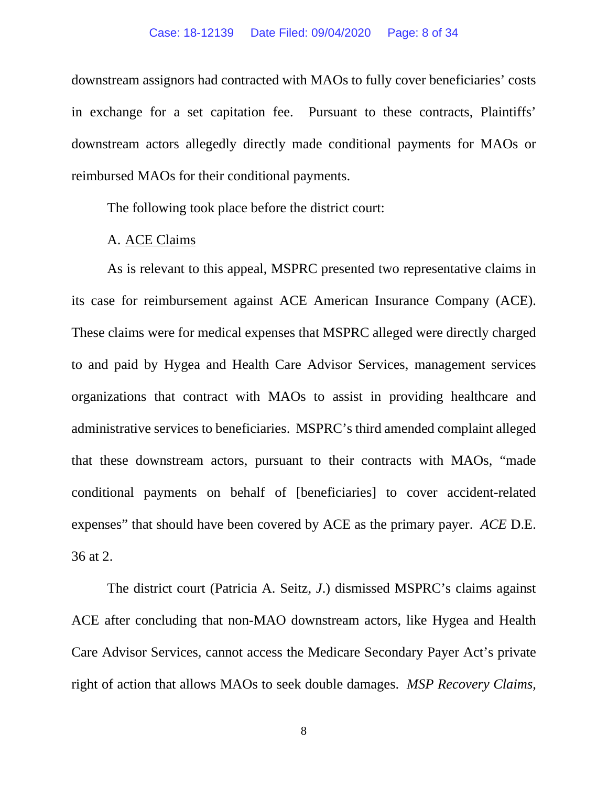#### Case: 18-12139 Date Filed: 09/04/2020 Page: 8 of 34

downstream assignors had contracted with MAOs to fully cover beneficiaries' costs in exchange for a set capitation fee. Pursuant to these contracts, Plaintiffs' downstream actors allegedly directly made conditional payments for MAOs or reimbursed MAOs for their conditional payments.

The following took place before the district court:

# A. ACE Claims

As is relevant to this appeal, MSPRC presented two representative claims in its case for reimbursement against ACE American Insurance Company (ACE). These claims were for medical expenses that MSPRC alleged were directly charged to and paid by Hygea and Health Care Advisor Services, management services organizations that contract with MAOs to assist in providing healthcare and administrative services to beneficiaries. MSPRC's third amended complaint alleged that these downstream actors, pursuant to their contracts with MAOs, "made conditional payments on behalf of [beneficiaries] to cover accident-related expenses" that should have been covered by ACE as the primary payer. *ACE* D.E. 36 at 2.

The district court (Patricia A. Seitz, *J*.) dismissed MSPRC's claims against ACE after concluding that non-MAO downstream actors, like Hygea and Health Care Advisor Services, cannot access the Medicare Secondary Payer Act's private right of action that allows MAOs to seek double damages. *MSP Recovery Claims,* 

8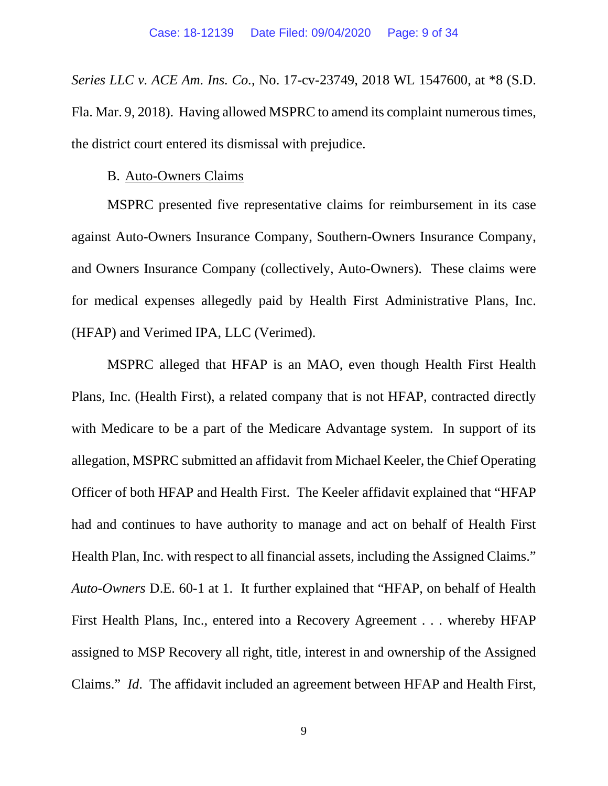*Series LLC v. ACE Am. Ins. Co.*, No. 17-cv-23749, 2018 WL 1547600, at \*8 (S.D. Fla. Mar. 9, 2018). Having allowed MSPRC to amend its complaint numerous times, the district court entered its dismissal with prejudice.

# B. Auto-Owners Claims

MSPRC presented five representative claims for reimbursement in its case against Auto-Owners Insurance Company, Southern-Owners Insurance Company, and Owners Insurance Company (collectively, Auto-Owners). These claims were for medical expenses allegedly paid by Health First Administrative Plans, Inc. (HFAP) and Verimed IPA, LLC (Verimed).

MSPRC alleged that HFAP is an MAO, even though Health First Health Plans, Inc. (Health First), a related company that is not HFAP, contracted directly with Medicare to be a part of the Medicare Advantage system. In support of its allegation, MSPRC submitted an affidavit from Michael Keeler, the Chief Operating Officer of both HFAP and Health First. The Keeler affidavit explained that "HFAP had and continues to have authority to manage and act on behalf of Health First Health Plan, Inc. with respect to all financial assets, including the Assigned Claims." *Auto-Owners* D.E. 60-1 at 1. It further explained that "HFAP, on behalf of Health First Health Plans, Inc., entered into a Recovery Agreement . . . whereby HFAP assigned to MSP Recovery all right, title, interest in and ownership of the Assigned Claims." *Id*. The affidavit included an agreement between HFAP and Health First,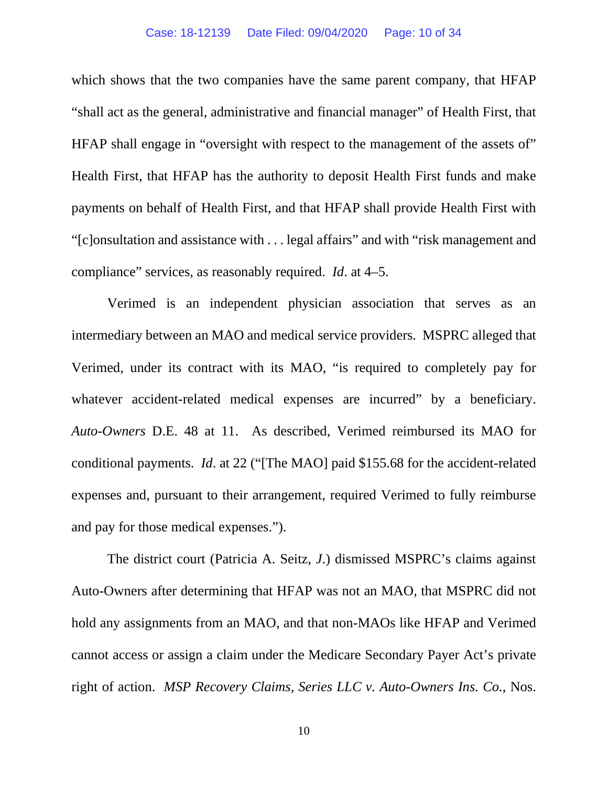#### Case: 18-12139 Date Filed: 09/04/2020 Page: 10 of 34

which shows that the two companies have the same parent company, that HFAP "shall act as the general, administrative and financial manager" of Health First, that HFAP shall engage in "oversight with respect to the management of the assets of" Health First, that HFAP has the authority to deposit Health First funds and make payments on behalf of Health First, and that HFAP shall provide Health First with "[c]onsultation and assistance with . . . legal affairs" and with "risk management and compliance" services, as reasonably required. *Id*. at 4–5.

Verimed is an independent physician association that serves as an intermediary between an MAO and medical service providers. MSPRC alleged that Verimed, under its contract with its MAO, "is required to completely pay for whatever accident-related medical expenses are incurred" by a beneficiary. *Auto-Owners* D.E. 48 at 11. As described, Verimed reimbursed its MAO for conditional payments. *Id*. at 22 ("[The MAO] paid \$155.68 for the accident-related expenses and, pursuant to their arrangement, required Verimed to fully reimburse and pay for those medical expenses.").

The district court (Patricia A. Seitz, *J*.) dismissed MSPRC's claims against Auto-Owners after determining that HFAP was not an MAO, that MSPRC did not hold any assignments from an MAO, and that non-MAOs like HFAP and Verimed cannot access or assign a claim under the Medicare Secondary Payer Act's private right of action. *MSP Recovery Claims, Series LLC v. Auto-Owners Ins. Co.*, Nos.

10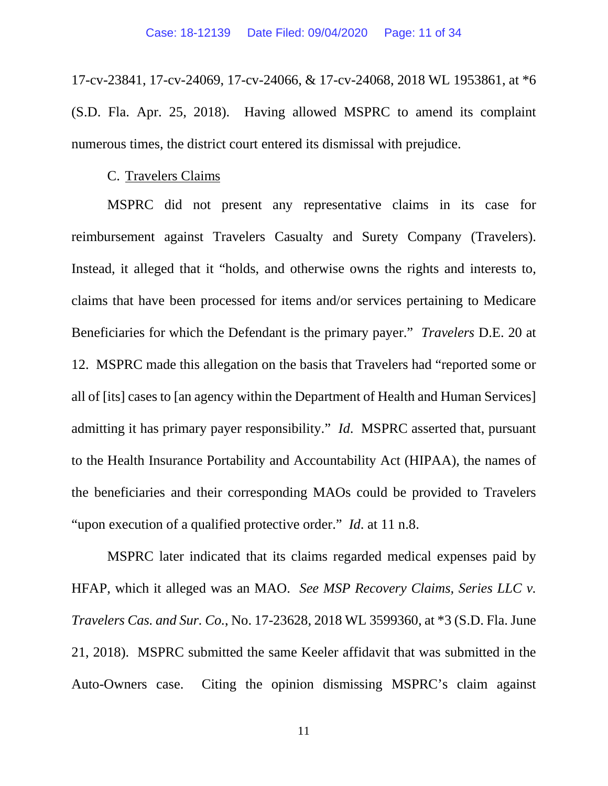17-cv-23841, 17-cv-24069, 17-cv-24066, & 17-cv-24068, 2018 WL 1953861, at \*6 (S.D. Fla. Apr. 25, 2018). Having allowed MSPRC to amend its complaint numerous times, the district court entered its dismissal with prejudice.

## C. Travelers Claims

MSPRC did not present any representative claims in its case for reimbursement against Travelers Casualty and Surety Company (Travelers). Instead, it alleged that it "holds, and otherwise owns the rights and interests to, claims that have been processed for items and/or services pertaining to Medicare Beneficiaries for which the Defendant is the primary payer." *Travelers* D.E. 20 at 12. MSPRC made this allegation on the basis that Travelers had "reported some or all of [its] cases to [an agency within the Department of Health and Human Services] admitting it has primary payer responsibility." *Id*. MSPRC asserted that, pursuant to the Health Insurance Portability and Accountability Act (HIPAA), the names of the beneficiaries and their corresponding MAOs could be provided to Travelers "upon execution of a qualified protective order." *Id*. at 11 n.8.

MSPRC later indicated that its claims regarded medical expenses paid by HFAP, which it alleged was an MAO. *See MSP Recovery Claims, Series LLC v. Travelers Cas. and Sur. Co.*, No. 17-23628, 2018 WL 3599360, at \*3 (S.D. Fla. June 21, 2018). MSPRC submitted the same Keeler affidavit that was submitted in the Auto-Owners case. Citing the opinion dismissing MSPRC's claim against

11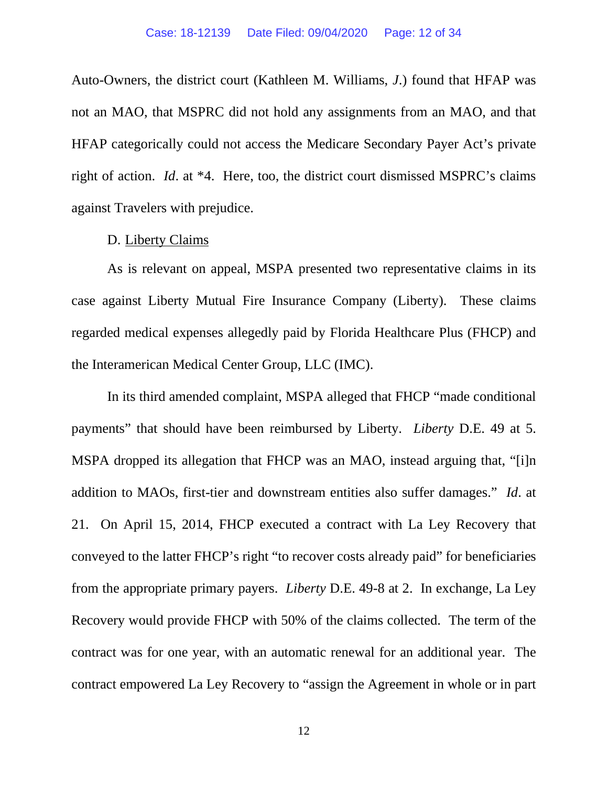Auto-Owners, the district court (Kathleen M. Williams, *J*.) found that HFAP was not an MAO, that MSPRC did not hold any assignments from an MAO, and that HFAP categorically could not access the Medicare Secondary Payer Act's private right of action. *Id*. at \*4. Here, too, the district court dismissed MSPRC's claims against Travelers with prejudice.

### D. Liberty Claims

As is relevant on appeal, MSPA presented two representative claims in its case against Liberty Mutual Fire Insurance Company (Liberty). These claims regarded medical expenses allegedly paid by Florida Healthcare Plus (FHCP) and the Interamerican Medical Center Group, LLC (IMC).

In its third amended complaint, MSPA alleged that FHCP "made conditional payments" that should have been reimbursed by Liberty. *Liberty* D.E. 49 at 5. MSPA dropped its allegation that FHCP was an MAO, instead arguing that, "[i]n addition to MAOs, first-tier and downstream entities also suffer damages." *Id*. at 21. On April 15, 2014, FHCP executed a contract with La Ley Recovery that conveyed to the latter FHCP's right "to recover costs already paid" for beneficiaries from the appropriate primary payers. *Liberty* D.E. 49-8 at 2. In exchange, La Ley Recovery would provide FHCP with 50% of the claims collected. The term of the contract was for one year, with an automatic renewal for an additional year. The contract empowered La Ley Recovery to "assign the Agreement in whole or in part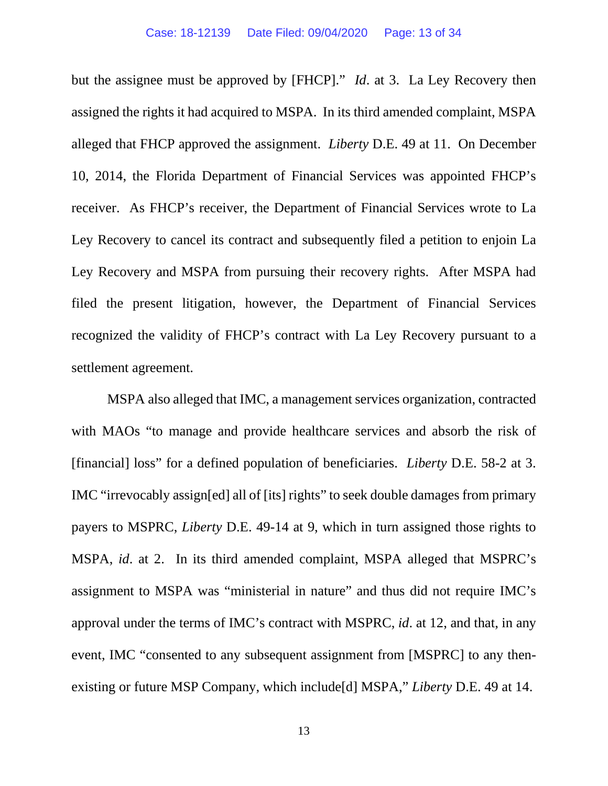but the assignee must be approved by [FHCP]." *Id*. at 3. La Ley Recovery then assigned the rights it had acquired to MSPA. In its third amended complaint, MSPA alleged that FHCP approved the assignment. *Liberty* D.E. 49 at 11. On December 10, 2014, the Florida Department of Financial Services was appointed FHCP's receiver. As FHCP's receiver, the Department of Financial Services wrote to La Ley Recovery to cancel its contract and subsequently filed a petition to enjoin La Ley Recovery and MSPA from pursuing their recovery rights. After MSPA had filed the present litigation, however, the Department of Financial Services recognized the validity of FHCP's contract with La Ley Recovery pursuant to a settlement agreement.

MSPA also alleged that IMC, a management services organization, contracted with MAOs "to manage and provide healthcare services and absorb the risk of [financial] loss" for a defined population of beneficiaries. *Liberty* D.E. 58-2 at 3. IMC "irrevocably assign[ed] all of [its] rights" to seek double damages from primary payers to MSPRC, *Liberty* D.E. 49-14 at 9, which in turn assigned those rights to MSPA, *id*. at 2. In its third amended complaint, MSPA alleged that MSPRC's assignment to MSPA was "ministerial in nature" and thus did not require IMC's approval under the terms of IMC's contract with MSPRC, *id*. at 12, and that, in any event, IMC "consented to any subsequent assignment from [MSPRC] to any thenexisting or future MSP Company, which include[d] MSPA," *Liberty* D.E. 49 at 14.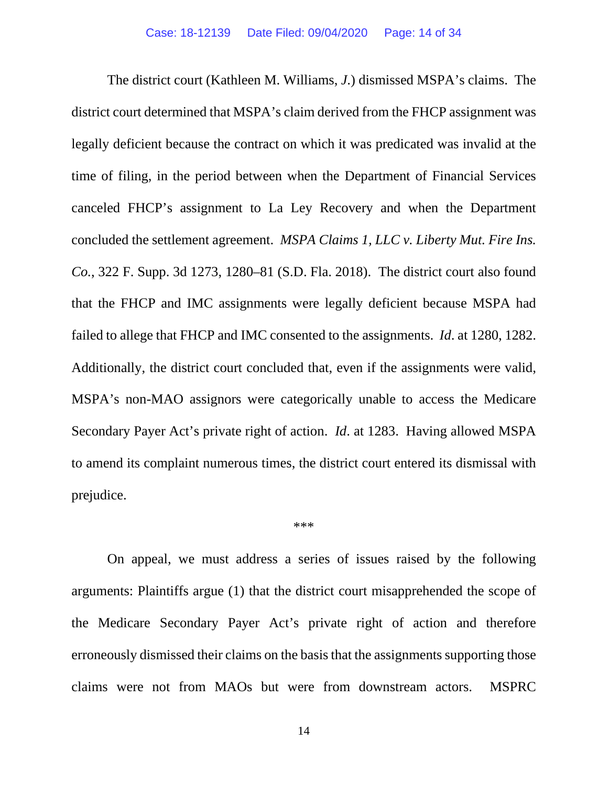The district court (Kathleen M. Williams, *J*.) dismissed MSPA's claims. The district court determined that MSPA's claim derived from the FHCP assignment was legally deficient because the contract on which it was predicated was invalid at the time of filing, in the period between when the Department of Financial Services canceled FHCP's assignment to La Ley Recovery and when the Department concluded the settlement agreement. *MSPA Claims 1, LLC v. Liberty Mut. Fire Ins. Co.*, 322 F. Supp. 3d 1273, 1280–81 (S.D. Fla. 2018). The district court also found that the FHCP and IMC assignments were legally deficient because MSPA had failed to allege that FHCP and IMC consented to the assignments. *Id*. at 1280, 1282. Additionally, the district court concluded that, even if the assignments were valid, MSPA's non-MAO assignors were categorically unable to access the Medicare Secondary Payer Act's private right of action. *Id*. at 1283. Having allowed MSPA to amend its complaint numerous times, the district court entered its dismissal with prejudice.

#### \*\*\*

On appeal, we must address a series of issues raised by the following arguments: Plaintiffs argue (1) that the district court misapprehended the scope of the Medicare Secondary Payer Act's private right of action and therefore erroneously dismissed their claims on the basis that the assignments supporting those claims were not from MAOs but were from downstream actors. MSPRC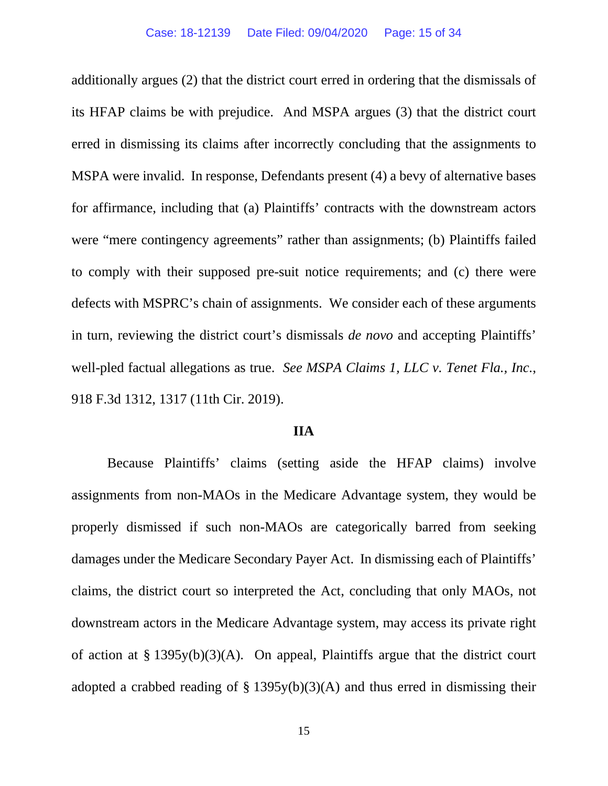additionally argues (2) that the district court erred in ordering that the dismissals of its HFAP claims be with prejudice. And MSPA argues (3) that the district court erred in dismissing its claims after incorrectly concluding that the assignments to MSPA were invalid. In response, Defendants present (4) a bevy of alternative bases for affirmance, including that (a) Plaintiffs' contracts with the downstream actors were "mere contingency agreements" rather than assignments; (b) Plaintiffs failed to comply with their supposed pre-suit notice requirements; and (c) there were defects with MSPRC's chain of assignments. We consider each of these arguments in turn, reviewing the district court's dismissals *de novo* and accepting Plaintiffs' well-pled factual allegations as true. *See MSPA Claims 1, LLC v. Tenet Fla., Inc.*, 918 F.3d 1312, 1317 (11th Cir. 2019).

### **IIA**

Because Plaintiffs' claims (setting aside the HFAP claims) involve assignments from non-MAOs in the Medicare Advantage system, they would be properly dismissed if such non-MAOs are categorically barred from seeking damages under the Medicare Secondary Payer Act. In dismissing each of Plaintiffs' claims, the district court so interpreted the Act, concluding that only MAOs, not downstream actors in the Medicare Advantage system, may access its private right of action at § 1395y(b)(3)(A). On appeal, Plaintiffs argue that the district court adopted a crabbed reading of  $\S$  1395y(b)(3)(A) and thus erred in dismissing their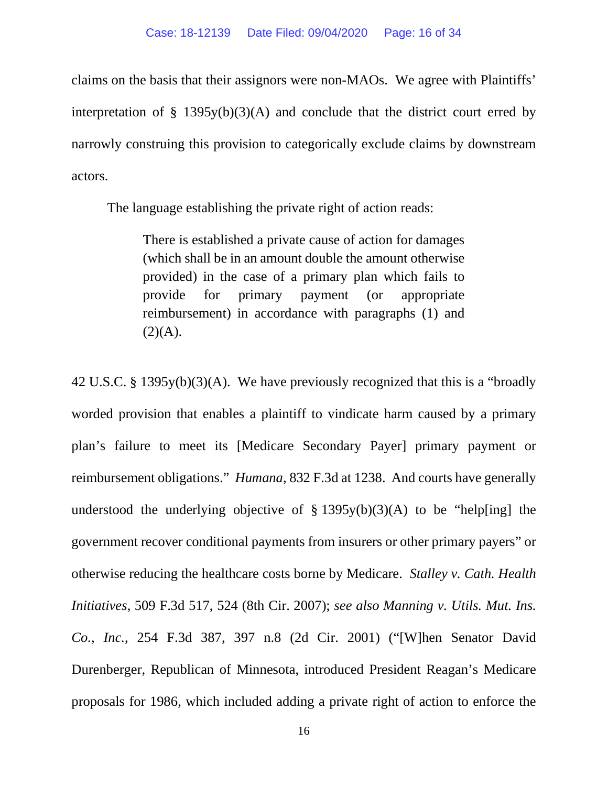claims on the basis that their assignors were non-MAOs. We agree with Plaintiffs' interpretation of  $\S$  1395y(b)(3)(A) and conclude that the district court erred by narrowly construing this provision to categorically exclude claims by downstream actors.

The language establishing the private right of action reads:

There is established a private cause of action for damages (which shall be in an amount double the amount otherwise provided) in the case of a primary plan which fails to provide for primary payment (or appropriate reimbursement) in accordance with paragraphs (1) and  $(2)(A).$ 

42 U.S.C. § 1395y(b)(3)(A). We have previously recognized that this is a "broadly worded provision that enables a plaintiff to vindicate harm caused by a primary plan's failure to meet its [Medicare Secondary Payer] primary payment or reimbursement obligations." *Humana*, 832 F.3d at 1238. And courts have generally understood the underlying objective of  $\S$  1395y(b)(3)(A) to be "help[ing] the government recover conditional payments from insurers or other primary payers" or otherwise reducing the healthcare costs borne by Medicare. *Stalley v. Cath. Health Initiatives*, 509 F.3d 517, 524 (8th Cir. 2007); *see also Manning v. Utils. Mut. Ins. Co., Inc.*, 254 F.3d 387, 397 n.8 (2d Cir. 2001) ("[W]hen Senator David Durenberger, Republican of Minnesota, introduced President Reagan's Medicare proposals for 1986, which included adding a private right of action to enforce the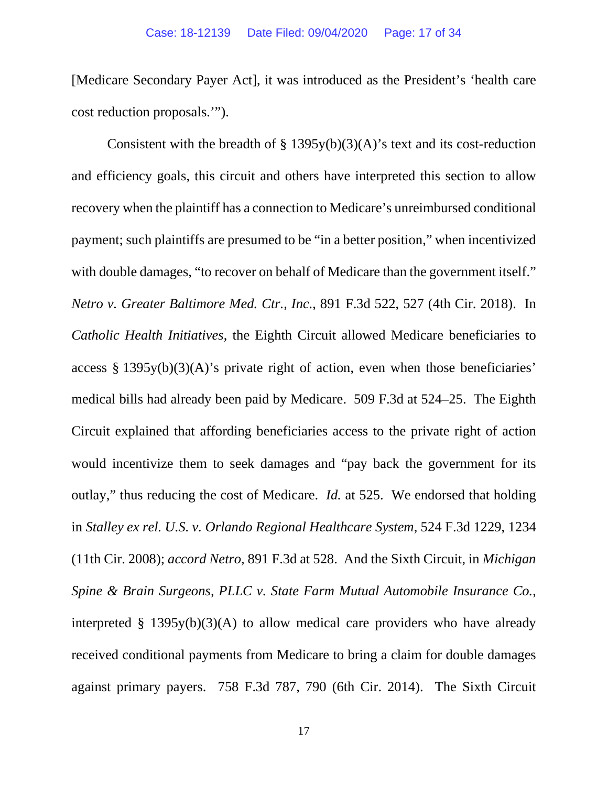[Medicare Secondary Payer Act], it was introduced as the President's 'health care cost reduction proposals.'").

Consistent with the breadth of  $\S$  1395y(b)(3)(A)'s text and its cost-reduction and efficiency goals, this circuit and others have interpreted this section to allow recovery when the plaintiff has a connection to Medicare's unreimbursed conditional payment; such plaintiffs are presumed to be "in a better position," when incentivized with double damages, "to recover on behalf of Medicare than the government itself." *Netro v. Greater Baltimore Med. Ctr., Inc.*, 891 F.3d 522, 527 (4th Cir. 2018). In *Catholic Health Initiatives*, the Eighth Circuit allowed Medicare beneficiaries to access § 1395y(b)(3)(A)'s private right of action, even when those beneficiaries' medical bills had already been paid by Medicare. 509 F.3d at 524–25. The Eighth Circuit explained that affording beneficiaries access to the private right of action would incentivize them to seek damages and "pay back the government for its outlay," thus reducing the cost of Medicare. *Id.* at 525. We endorsed that holding in *Stalley ex rel. U.S. v. Orlando Regional Healthcare System*, 524 F.3d 1229, 1234 (11th Cir. 2008); *accord Netro*, 891 F.3d at 528. And the Sixth Circuit, in *Michigan Spine & Brain Surgeons, PLLC v. State Farm Mutual Automobile Insurance Co.*, interpreted § 1395y(b)(3)(A) to allow medical care providers who have already received conditional payments from Medicare to bring a claim for double damages against primary payers. 758 F.3d 787, 790 (6th Cir. 2014). The Sixth Circuit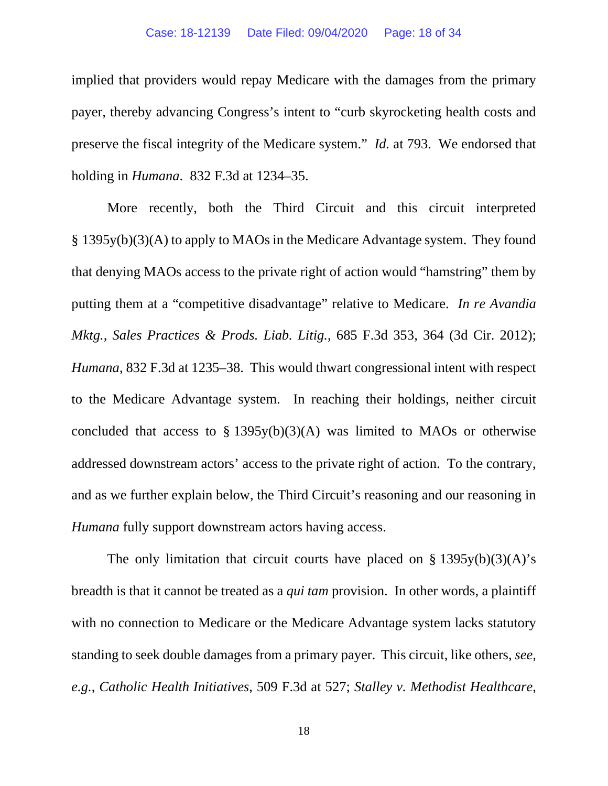implied that providers would repay Medicare with the damages from the primary payer, thereby advancing Congress's intent to "curb skyrocketing health costs and preserve the fiscal integrity of the Medicare system." *Id.* at 793. We endorsed that holding in *Humana*. 832 F.3d at 1234–35.

More recently, both the Third Circuit and this circuit interpreted § 1395y(b)(3)(A) to apply to MAOs in the Medicare Advantage system. They found that denying MAOs access to the private right of action would "hamstring" them by putting them at a "competitive disadvantage" relative to Medicare. *In re Avandia Mktg., Sales Practices & Prods. Liab. Litig.*, 685 F.3d 353, 364 (3d Cir. 2012); *Humana*, 832 F.3d at 1235–38. This would thwart congressional intent with respect to the Medicare Advantage system. In reaching their holdings, neither circuit concluded that access to  $\S$  1395y(b)(3)(A) was limited to MAOs or otherwise addressed downstream actors' access to the private right of action. To the contrary, and as we further explain below, the Third Circuit's reasoning and our reasoning in *Humana* fully support downstream actors having access.

The only limitation that circuit courts have placed on  $\S$  1395y(b)(3)(A)'s breadth is that it cannot be treated as a *qui tam* provision. In other words, a plaintiff with no connection to Medicare or the Medicare Advantage system lacks statutory standing to seek double damages from a primary payer. This circuit, like others, *see, e.g.*, *Catholic Health Initiatives*, 509 F.3d at 527; *Stalley v. Methodist Healthcare*,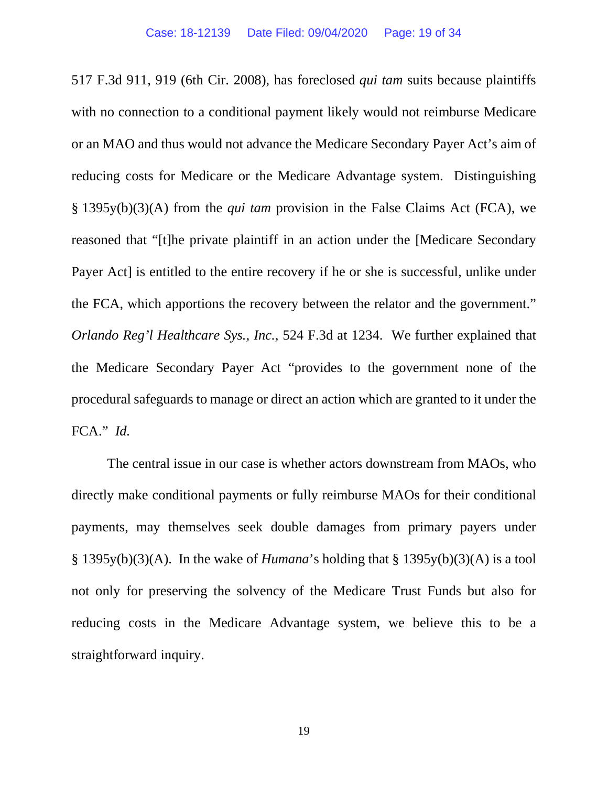517 F.3d 911, 919 (6th Cir. 2008), has foreclosed *qui tam* suits because plaintiffs with no connection to a conditional payment likely would not reimburse Medicare or an MAO and thus would not advance the Medicare Secondary Payer Act's aim of reducing costs for Medicare or the Medicare Advantage system. Distinguishing § 1395y(b)(3)(A) from the *qui tam* provision in the False Claims Act (FCA), we reasoned that "[t]he private plaintiff in an action under the [Medicare Secondary Payer Act] is entitled to the entire recovery if he or she is successful, unlike under the FCA, which apportions the recovery between the relator and the government." *Orlando Reg'l Healthcare Sys., Inc.*, 524 F.3d at 1234. We further explained that the Medicare Secondary Payer Act "provides to the government none of the procedural safeguards to manage or direct an action which are granted to it under the FCA." *Id.*

The central issue in our case is whether actors downstream from MAOs, who directly make conditional payments or fully reimburse MAOs for their conditional payments, may themselves seek double damages from primary payers under § 1395y(b)(3)(A). In the wake of *Humana*'s holding that § 1395y(b)(3)(A) is a tool not only for preserving the solvency of the Medicare Trust Funds but also for reducing costs in the Medicare Advantage system, we believe this to be a straightforward inquiry.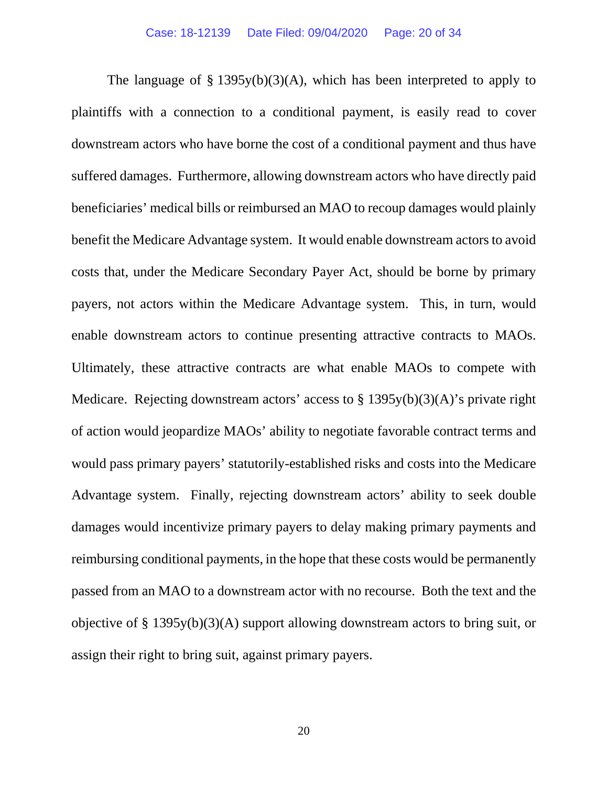The language of  $\S$  1395y(b)(3)(A), which has been interpreted to apply to plaintiffs with a connection to a conditional payment, is easily read to cover downstream actors who have borne the cost of a conditional payment and thus have suffered damages. Furthermore, allowing downstream actors who have directly paid beneficiaries' medical bills or reimbursed an MAO to recoup damages would plainly benefit the Medicare Advantage system. It would enable downstream actors to avoid costs that, under the Medicare Secondary Payer Act, should be borne by primary payers, not actors within the Medicare Advantage system. This, in turn, would enable downstream actors to continue presenting attractive contracts to MAOs. Ultimately, these attractive contracts are what enable MAOs to compete with Medicare. Rejecting downstream actors' access to  $\S$  1395y(b)(3)(A)'s private right of action would jeopardize MAOs' ability to negotiate favorable contract terms and would pass primary payers' statutorily-established risks and costs into the Medicare Advantage system. Finally, rejecting downstream actors' ability to seek double damages would incentivize primary payers to delay making primary payments and reimbursing conditional payments, in the hope that these costs would be permanently passed from an MAO to a downstream actor with no recourse. Both the text and the objective of § 1395y(b)(3)(A) support allowing downstream actors to bring suit, or assign their right to bring suit, against primary payers.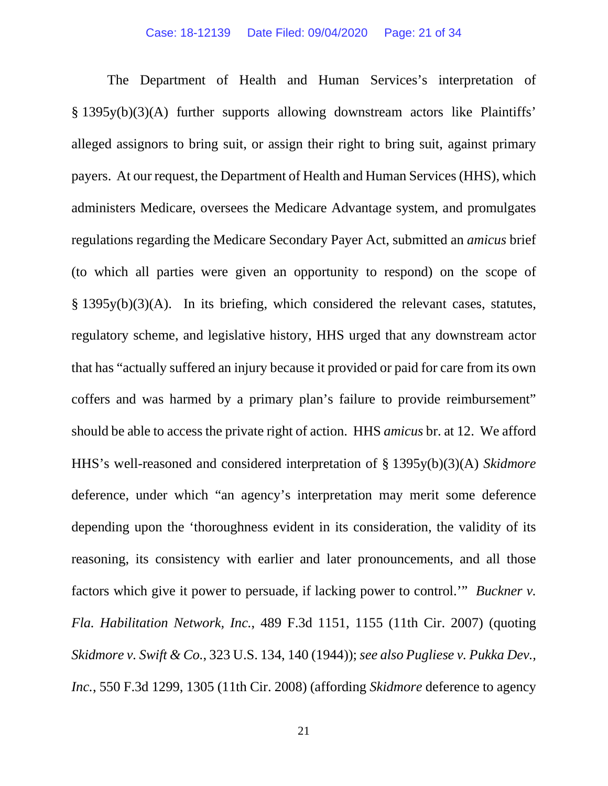The Department of Health and Human Services's interpretation of § 1395y(b)(3)(A) further supports allowing downstream actors like Plaintiffs' alleged assignors to bring suit, or assign their right to bring suit, against primary payers. At our request, the Department of Health and Human Services (HHS), which administers Medicare, oversees the Medicare Advantage system, and promulgates regulations regarding the Medicare Secondary Payer Act, submitted an *amicus* brief (to which all parties were given an opportunity to respond) on the scope of § 1395y(b)(3)(A). In its briefing, which considered the relevant cases, statutes, regulatory scheme, and legislative history, HHS urged that any downstream actor that has "actually suffered an injury because it provided or paid for care from its own coffers and was harmed by a primary plan's failure to provide reimbursement" should be able to access the private right of action. HHS *amicus* br. at 12. We afford HHS's well-reasoned and considered interpretation of § 1395y(b)(3)(A) *Skidmore* deference, under which "an agency's interpretation may merit some deference depending upon the 'thoroughness evident in its consideration, the validity of its reasoning, its consistency with earlier and later pronouncements, and all those factors which give it power to persuade, if lacking power to control.'" *Buckner v. Fla. Habilitation Network, Inc.*, 489 F.3d 1151, 1155 (11th Cir. 2007) (quoting *Skidmore v. Swift & Co.*, 323 U.S. 134, 140 (1944)); *see also Pugliese v. Pukka Dev., Inc.*, 550 F.3d 1299, 1305 (11th Cir. 2008) (affording *Skidmore* deference to agency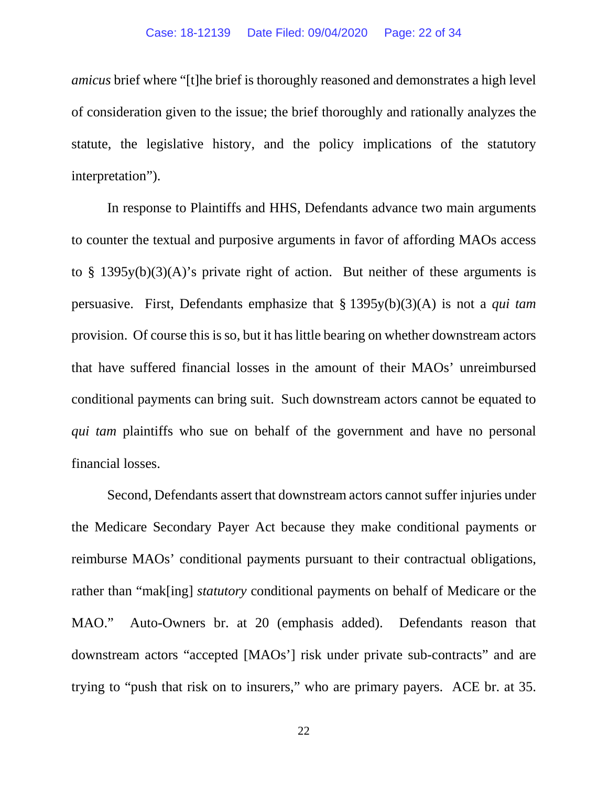*amicus* brief where "[t]he brief is thoroughly reasoned and demonstrates a high level of consideration given to the issue; the brief thoroughly and rationally analyzes the statute, the legislative history, and the policy implications of the statutory interpretation").

In response to Plaintiffs and HHS, Defendants advance two main arguments to counter the textual and purposive arguments in favor of affording MAOs access to § 1395y(b)(3)(A)'s private right of action. But neither of these arguments is persuasive. First, Defendants emphasize that § 1395y(b)(3)(A) is not a *qui tam* provision. Of course this is so, but it has little bearing on whether downstream actors that have suffered financial losses in the amount of their MAOs' unreimbursed conditional payments can bring suit. Such downstream actors cannot be equated to *qui tam plaintiffs* who sue on behalf of the government and have no personal financial losses.

Second, Defendants assert that downstream actors cannot suffer injuries under the Medicare Secondary Payer Act because they make conditional payments or reimburse MAOs' conditional payments pursuant to their contractual obligations, rather than "mak[ing] *statutory* conditional payments on behalf of Medicare or the MAO." Auto-Owners br. at 20 (emphasis added). Defendants reason that downstream actors "accepted [MAOs'] risk under private sub-contracts" and are trying to "push that risk on to insurers," who are primary payers. ACE br. at 35.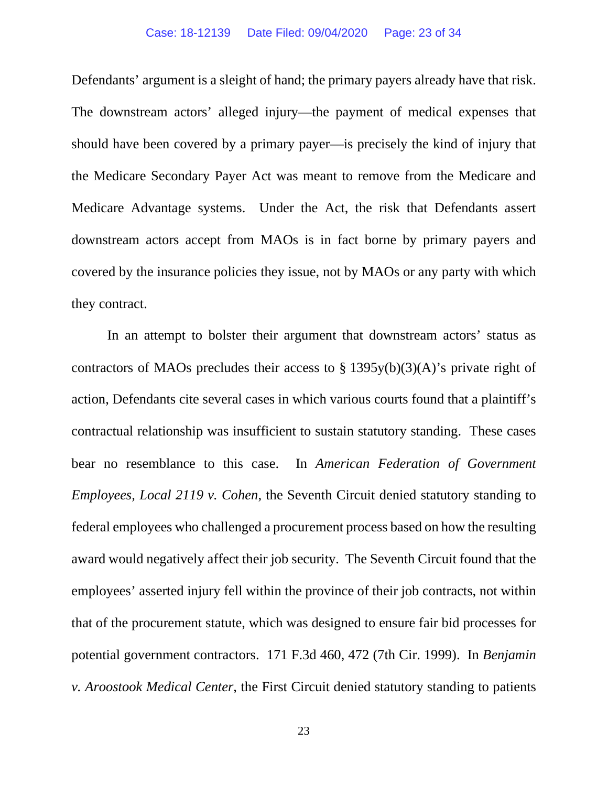Defendants' argument is a sleight of hand; the primary payers already have that risk. The downstream actors' alleged injury—the payment of medical expenses that should have been covered by a primary payer—is precisely the kind of injury that the Medicare Secondary Payer Act was meant to remove from the Medicare and Medicare Advantage systems. Under the Act, the risk that Defendants assert downstream actors accept from MAOs is in fact borne by primary payers and covered by the insurance policies they issue, not by MAOs or any party with which they contract.

In an attempt to bolster their argument that downstream actors' status as contractors of MAOs precludes their access to  $\S 1395y(b)(3)(A)$ 's private right of action, Defendants cite several cases in which various courts found that a plaintiff's contractual relationship was insufficient to sustain statutory standing. These cases bear no resemblance to this case. In *American Federation of Government Employees, Local 2119 v. Cohen*, the Seventh Circuit denied statutory standing to federal employees who challenged a procurement process based on how the resulting award would negatively affect their job security. The Seventh Circuit found that the employees' asserted injury fell within the province of their job contracts, not within that of the procurement statute, which was designed to ensure fair bid processes for potential government contractors. 171 F.3d 460, 472 (7th Cir. 1999). In *Benjamin v. Aroostook Medical Center*, the First Circuit denied statutory standing to patients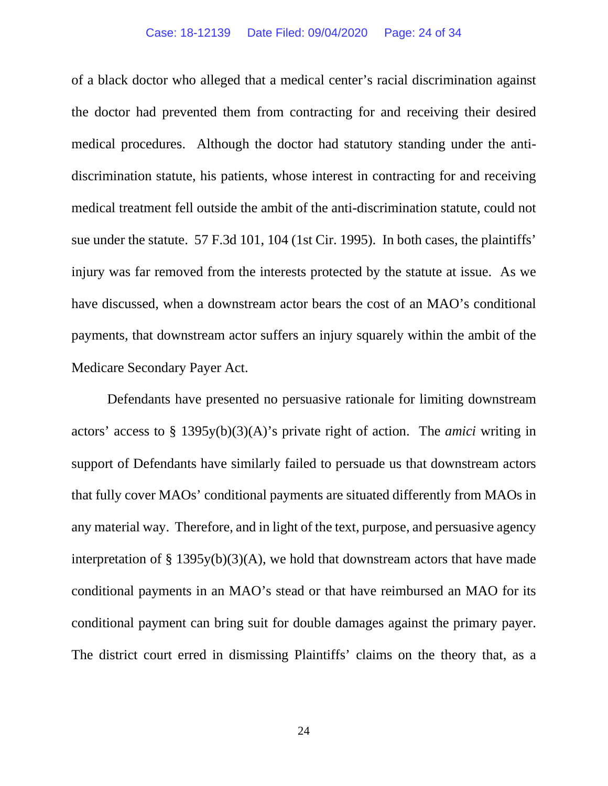of a black doctor who alleged that a medical center's racial discrimination against the doctor had prevented them from contracting for and receiving their desired medical procedures. Although the doctor had statutory standing under the antidiscrimination statute, his patients, whose interest in contracting for and receiving medical treatment fell outside the ambit of the anti-discrimination statute, could not sue under the statute. 57 F.3d 101, 104 (1st Cir. 1995). In both cases, the plaintiffs' injury was far removed from the interests protected by the statute at issue. As we have discussed, when a downstream actor bears the cost of an MAO's conditional payments, that downstream actor suffers an injury squarely within the ambit of the Medicare Secondary Payer Act.

Defendants have presented no persuasive rationale for limiting downstream actors' access to § 1395y(b)(3)(A)'s private right of action. The *amici* writing in support of Defendants have similarly failed to persuade us that downstream actors that fully cover MAOs' conditional payments are situated differently from MAOs in any material way. Therefore, and in light of the text, purpose, and persuasive agency interpretation of § 1395y(b)(3)(A), we hold that downstream actors that have made conditional payments in an MAO's stead or that have reimbursed an MAO for its conditional payment can bring suit for double damages against the primary payer. The district court erred in dismissing Plaintiffs' claims on the theory that, as a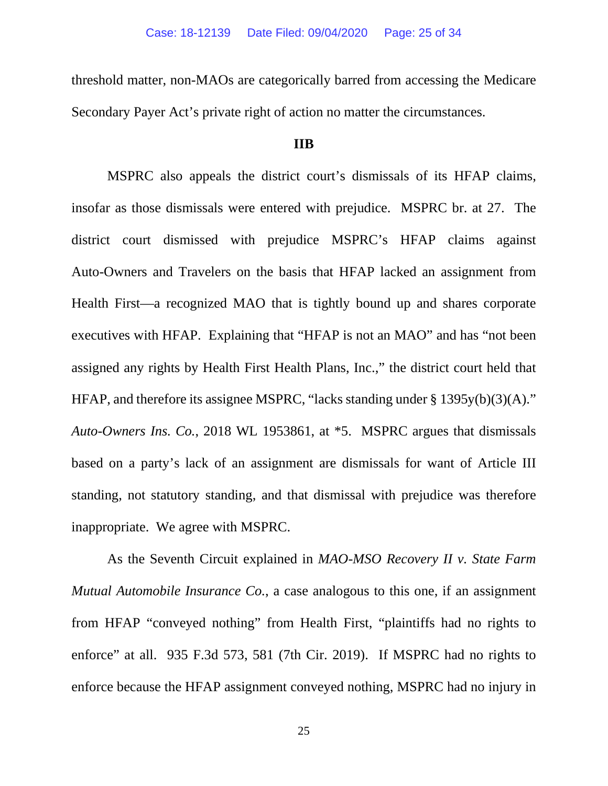threshold matter, non-MAOs are categorically barred from accessing the Medicare Secondary Payer Act's private right of action no matter the circumstances.

### **IIB**

MSPRC also appeals the district court's dismissals of its HFAP claims, insofar as those dismissals were entered with prejudice. MSPRC br. at 27. The district court dismissed with prejudice MSPRC's HFAP claims against Auto-Owners and Travelers on the basis that HFAP lacked an assignment from Health First—a recognized MAO that is tightly bound up and shares corporate executives with HFAP. Explaining that "HFAP is not an MAO" and has "not been assigned any rights by Health First Health Plans, Inc.," the district court held that HFAP, and therefore its assignee MSPRC, "lacks standing under § 1395y(b)(3)(A)." *Auto-Owners Ins. Co.*, 2018 WL 1953861, at \*5. MSPRC argues that dismissals based on a party's lack of an assignment are dismissals for want of Article III standing, not statutory standing, and that dismissal with prejudice was therefore inappropriate. We agree with MSPRC.

As the Seventh Circuit explained in *MAO-MSO Recovery II v. State Farm Mutual Automobile Insurance Co.*, a case analogous to this one, if an assignment from HFAP "conveyed nothing" from Health First, "plaintiffs had no rights to enforce" at all. 935 F.3d 573, 581 (7th Cir. 2019). If MSPRC had no rights to enforce because the HFAP assignment conveyed nothing, MSPRC had no injury in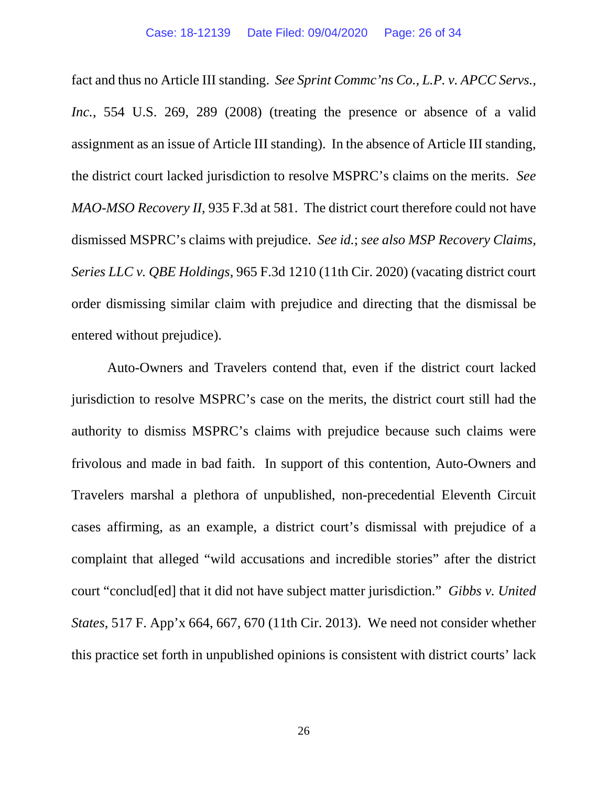fact and thus no Article III standing. *See Sprint Commc'ns Co., L.P. v. APCC Servs., Inc.*, 554 U.S. 269, 289 (2008) (treating the presence or absence of a valid assignment as an issue of Article III standing). In the absence of Article III standing, the district court lacked jurisdiction to resolve MSPRC's claims on the merits. *See MAO-MSO Recovery II*, 935 F.3d at 581. The district court therefore could not have dismissed MSPRC's claims with prejudice. *See id.*; *see also MSP Recovery Claims, Series LLC v. QBE Holdings*, 965 F.3d 1210 (11th Cir. 2020) (vacating district court order dismissing similar claim with prejudice and directing that the dismissal be entered without prejudice).

Auto-Owners and Travelers contend that, even if the district court lacked jurisdiction to resolve MSPRC's case on the merits, the district court still had the authority to dismiss MSPRC's claims with prejudice because such claims were frivolous and made in bad faith. In support of this contention, Auto-Owners and Travelers marshal a plethora of unpublished, non-precedential Eleventh Circuit cases affirming, as an example, a district court's dismissal with prejudice of a complaint that alleged "wild accusations and incredible stories" after the district court "conclud[ed] that it did not have subject matter jurisdiction." *Gibbs v. United States*, 517 F. App'x 664, 667, 670 (11th Cir. 2013). We need not consider whether this practice set forth in unpublished opinions is consistent with district courts' lack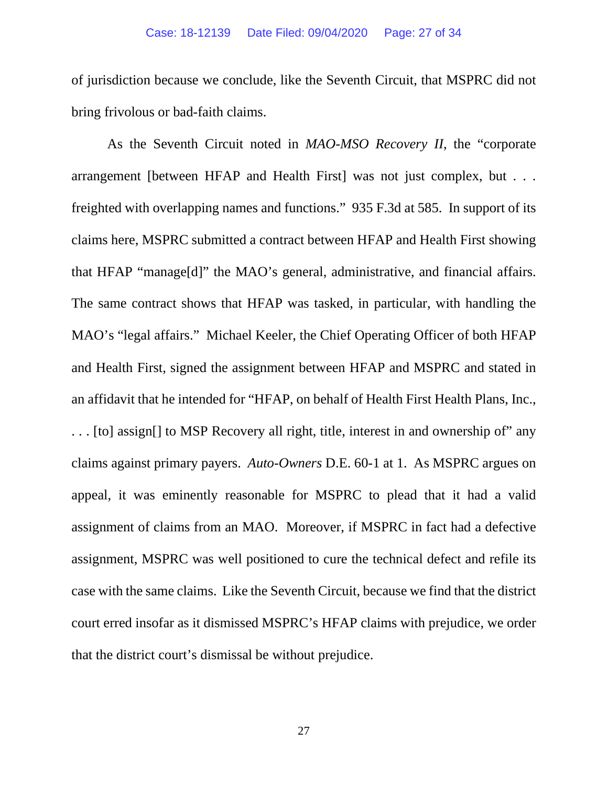of jurisdiction because we conclude, like the Seventh Circuit, that MSPRC did not bring frivolous or bad-faith claims.

As the Seventh Circuit noted in *MAO-MSO Recovery II*, the "corporate arrangement [between HFAP and Health First] was not just complex, but . . . freighted with overlapping names and functions." 935 F.3d at 585. In support of its claims here, MSPRC submitted a contract between HFAP and Health First showing that HFAP "manage[d]" the MAO's general, administrative, and financial affairs. The same contract shows that HFAP was tasked, in particular, with handling the MAO's "legal affairs." Michael Keeler, the Chief Operating Officer of both HFAP and Health First, signed the assignment between HFAP and MSPRC and stated in an affidavit that he intended for "HFAP, on behalf of Health First Health Plans, Inc., . . . [to] assign[] to MSP Recovery all right, title, interest in and ownership of" any claims against primary payers. *Auto-Owners* D.E. 60-1 at 1. As MSPRC argues on appeal, it was eminently reasonable for MSPRC to plead that it had a valid assignment of claims from an MAO. Moreover, if MSPRC in fact had a defective assignment, MSPRC was well positioned to cure the technical defect and refile its case with the same claims. Like the Seventh Circuit, because we find that the district court erred insofar as it dismissed MSPRC's HFAP claims with prejudice, we order that the district court's dismissal be without prejudice.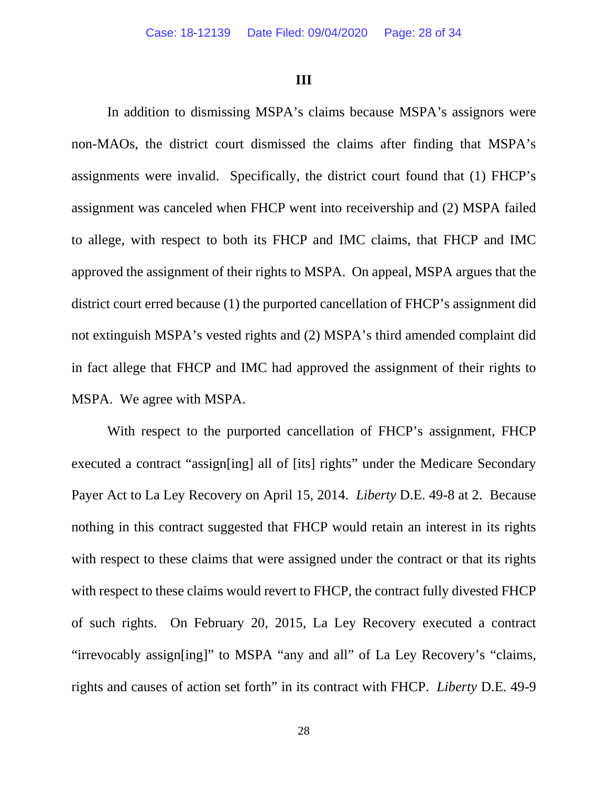#### **III**

In addition to dismissing MSPA's claims because MSPA's assignors were non-MAOs, the district court dismissed the claims after finding that MSPA's assignments were invalid. Specifically, the district court found that (1) FHCP's assignment was canceled when FHCP went into receivership and (2) MSPA failed to allege, with respect to both its FHCP and IMC claims, that FHCP and IMC approved the assignment of their rights to MSPA. On appeal, MSPA argues that the district court erred because (1) the purported cancellation of FHCP's assignment did not extinguish MSPA's vested rights and (2) MSPA's third amended complaint did in fact allege that FHCP and IMC had approved the assignment of their rights to MSPA. We agree with MSPA.

With respect to the purported cancellation of FHCP's assignment, FHCP executed a contract "assign[ing] all of [its] rights" under the Medicare Secondary Payer Act to La Ley Recovery on April 15, 2014. *Liberty* D.E. 49-8 at 2. Because nothing in this contract suggested that FHCP would retain an interest in its rights with respect to these claims that were assigned under the contract or that its rights with respect to these claims would revert to FHCP, the contract fully divested FHCP of such rights. On February 20, 2015, La Ley Recovery executed a contract "irrevocably assign[ing]" to MSPA "any and all" of La Ley Recovery's "claims, rights and causes of action set forth" in its contract with FHCP. *Liberty* D.E. 49-9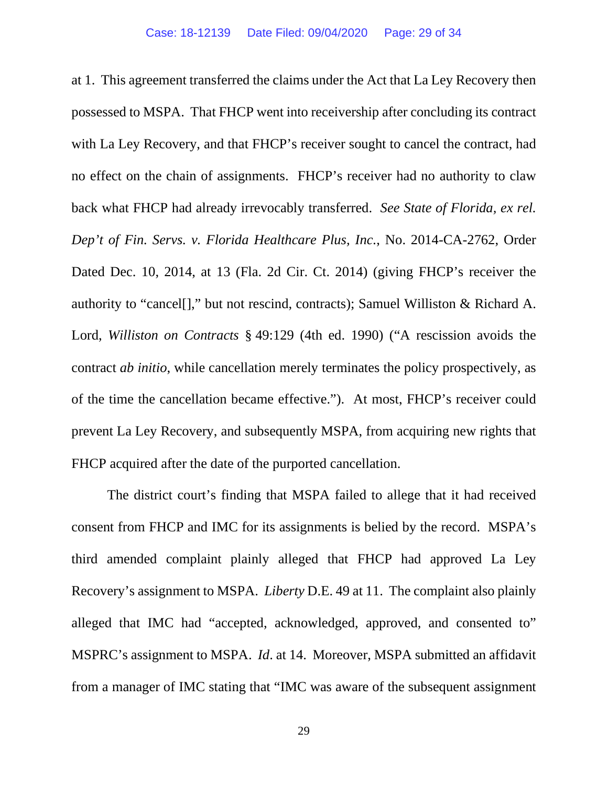at 1. This agreement transferred the claims under the Act that La Ley Recovery then possessed to MSPA. That FHCP went into receivership after concluding its contract with La Ley Recovery, and that FHCP's receiver sought to cancel the contract, had no effect on the chain of assignments. FHCP's receiver had no authority to claw back what FHCP had already irrevocably transferred. *See State of Florida, ex rel. Dep't of Fin. Servs. v. Florida Healthcare Plus, Inc.*, No. 2014-CA-2762, Order Dated Dec. 10, 2014, at 13 (Fla. 2d Cir. Ct. 2014) (giving FHCP's receiver the authority to "cancel[]," but not rescind, contracts); Samuel Williston & Richard A. Lord, *Williston on Contracts* § 49:129 (4th ed. 1990) ("A rescission avoids the contract *ab initio*, while cancellation merely terminates the policy prospectively, as of the time the cancellation became effective."). At most, FHCP's receiver could prevent La Ley Recovery, and subsequently MSPA, from acquiring new rights that FHCP acquired after the date of the purported cancellation.

The district court's finding that MSPA failed to allege that it had received consent from FHCP and IMC for its assignments is belied by the record. MSPA's third amended complaint plainly alleged that FHCP had approved La Ley Recovery's assignment to MSPA. *Liberty* D.E. 49 at 11. The complaint also plainly alleged that IMC had "accepted, acknowledged, approved, and consented to" MSPRC's assignment to MSPA. *Id*. at 14. Moreover, MSPA submitted an affidavit from a manager of IMC stating that "IMC was aware of the subsequent assignment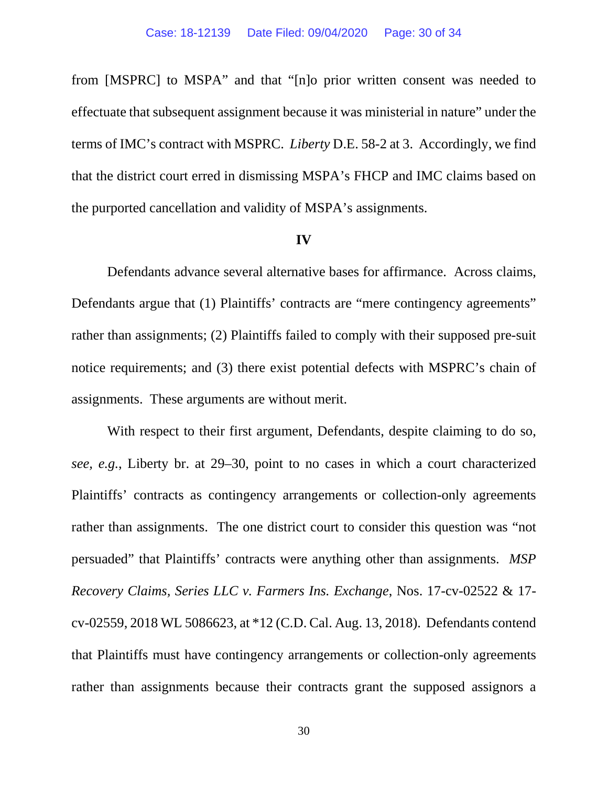from [MSPRC] to MSPA" and that "[n]o prior written consent was needed to effectuate that subsequent assignment because it was ministerial in nature" under the terms of IMC's contract with MSPRC. *Liberty* D.E. 58-2 at 3. Accordingly, we find that the district court erred in dismissing MSPA's FHCP and IMC claims based on the purported cancellation and validity of MSPA's assignments.

#### **IV**

Defendants advance several alternative bases for affirmance. Across claims, Defendants argue that (1) Plaintiffs' contracts are "mere contingency agreements" rather than assignments; (2) Plaintiffs failed to comply with their supposed pre-suit notice requirements; and (3) there exist potential defects with MSPRC's chain of assignments. These arguments are without merit.

With respect to their first argument, Defendants, despite claiming to do so, *see, e.g.*, Liberty br. at 29–30, point to no cases in which a court characterized Plaintiffs' contracts as contingency arrangements or collection-only agreements rather than assignments. The one district court to consider this question was "not persuaded" that Plaintiffs' contracts were anything other than assignments. *MSP Recovery Claims, Series LLC v. Farmers Ins. Exchange*, Nos. 17-cv-02522 & 17 cv-02559, 2018 WL 5086623, at \*12 (C.D. Cal. Aug. 13, 2018). Defendants contend that Plaintiffs must have contingency arrangements or collection-only agreements rather than assignments because their contracts grant the supposed assignors a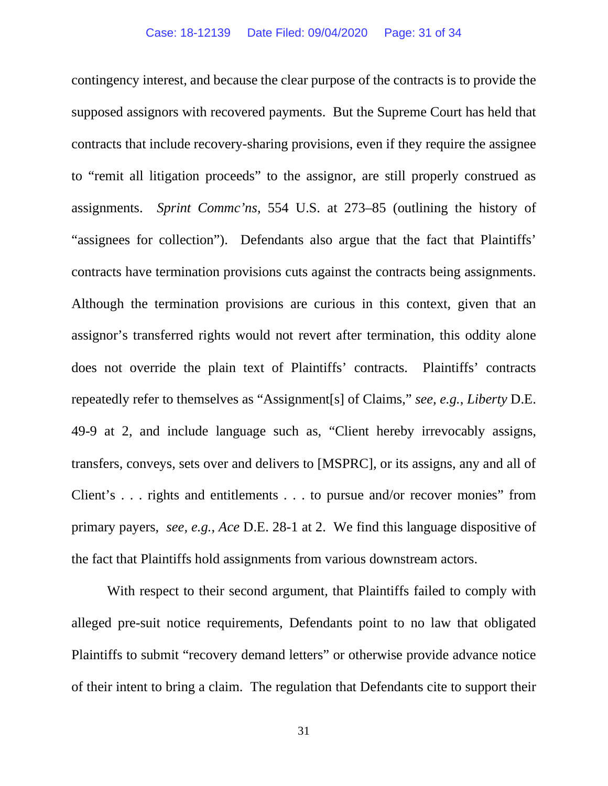contingency interest, and because the clear purpose of the contracts is to provide the supposed assignors with recovered payments. But the Supreme Court has held that contracts that include recovery-sharing provisions, even if they require the assignee to "remit all litigation proceeds" to the assignor, are still properly construed as assignments. *Sprint Commc'ns*, 554 U.S. at 273–85 (outlining the history of "assignees for collection"). Defendants also argue that the fact that Plaintiffs' contracts have termination provisions cuts against the contracts being assignments. Although the termination provisions are curious in this context, given that an assignor's transferred rights would not revert after termination, this oddity alone does not override the plain text of Plaintiffs' contracts. Plaintiffs' contracts repeatedly refer to themselves as "Assignment[s] of Claims," *see, e.g.*, *Liberty* D.E. 49-9 at 2, and include language such as, "Client hereby irrevocably assigns, transfers, conveys, sets over and delivers to [MSPRC], or its assigns, any and all of Client's . . . rights and entitlements . . . to pursue and/or recover monies" from primary payers, *see, e.g.*, *Ace* D.E. 28-1 at 2. We find this language dispositive of the fact that Plaintiffs hold assignments from various downstream actors.

With respect to their second argument, that Plaintiffs failed to comply with alleged pre-suit notice requirements, Defendants point to no law that obligated Plaintiffs to submit "recovery demand letters" or otherwise provide advance notice of their intent to bring a claim. The regulation that Defendants cite to support their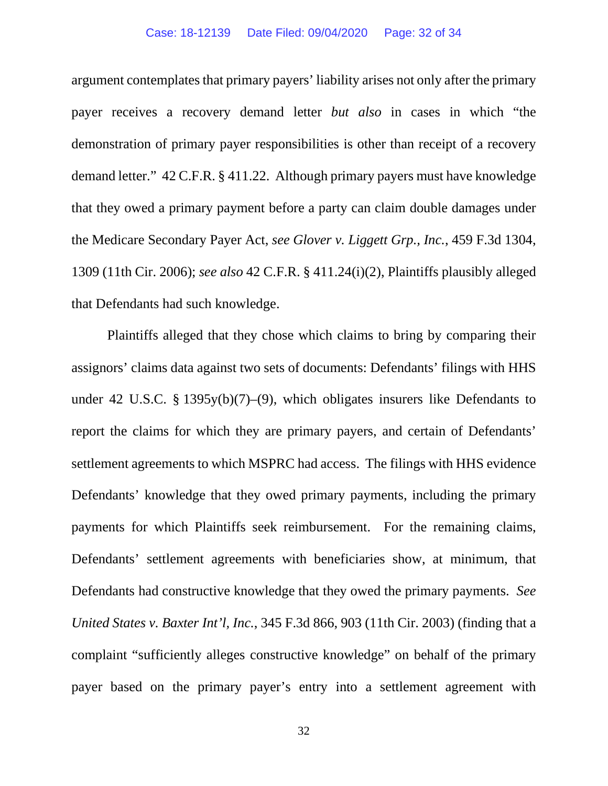#### Case: 18-12139 Date Filed: 09/04/2020 Page: 32 of 34

argument contemplates that primary payers' liability arises not only after the primary payer receives a recovery demand letter *but also* in cases in which "the demonstration of primary payer responsibilities is other than receipt of a recovery demand letter." 42 C.F.R. § 411.22. Although primary payers must have knowledge that they owed a primary payment before a party can claim double damages under the Medicare Secondary Payer Act, *see Glover v. Liggett Grp., Inc.*, 459 F.3d 1304, 1309 (11th Cir. 2006); *see also* 42 C.F.R. § 411.24(i)(2), Plaintiffs plausibly alleged that Defendants had such knowledge.

Plaintiffs alleged that they chose which claims to bring by comparing their assignors' claims data against two sets of documents: Defendants' filings with HHS under 42 U.S.C. § 1395y(b)(7)–(9), which obligates insurers like Defendants to report the claims for which they are primary payers, and certain of Defendants' settlement agreements to which MSPRC had access. The filings with HHS evidence Defendants' knowledge that they owed primary payments, including the primary payments for which Plaintiffs seek reimbursement. For the remaining claims, Defendants' settlement agreements with beneficiaries show, at minimum, that Defendants had constructive knowledge that they owed the primary payments. *See United States v. Baxter Int'l, Inc.*, 345 F.3d 866, 903 (11th Cir. 2003) (finding that a complaint "sufficiently alleges constructive knowledge" on behalf of the primary payer based on the primary payer's entry into a settlement agreement with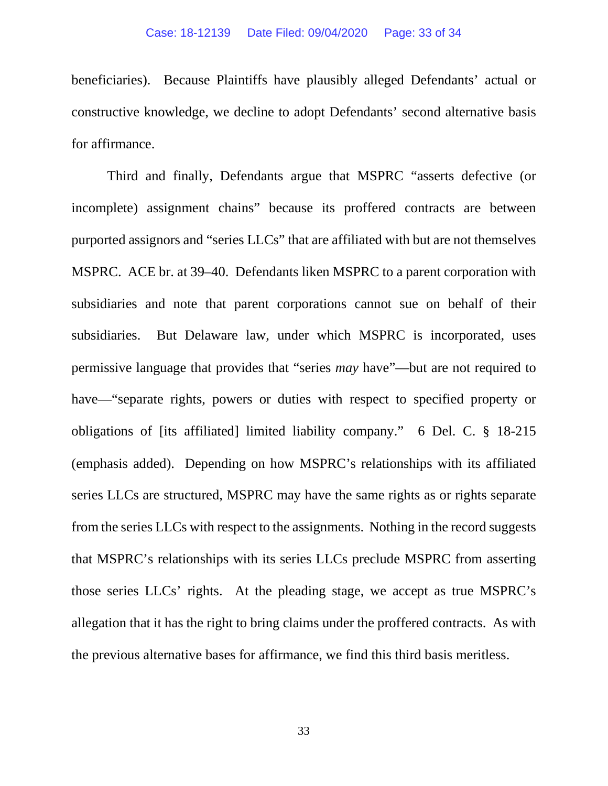beneficiaries). Because Plaintiffs have plausibly alleged Defendants' actual or constructive knowledge, we decline to adopt Defendants' second alternative basis for affirmance.

Third and finally, Defendants argue that MSPRC "asserts defective (or incomplete) assignment chains" because its proffered contracts are between purported assignors and "series LLCs" that are affiliated with but are not themselves MSPRC. ACE br. at 39–40. Defendants liken MSPRC to a parent corporation with subsidiaries and note that parent corporations cannot sue on behalf of their subsidiaries. But Delaware law, under which MSPRC is incorporated, uses permissive language that provides that "series *may* have"—but are not required to have—"separate rights, powers or duties with respect to specified property or obligations of [its affiliated] limited liability company." 6 Del. C. § 18-215 (emphasis added). Depending on how MSPRC's relationships with its affiliated series LLCs are structured, MSPRC may have the same rights as or rights separate from the series LLCs with respect to the assignments. Nothing in the record suggests that MSPRC's relationships with its series LLCs preclude MSPRC from asserting those series LLCs' rights. At the pleading stage, we accept as true MSPRC's allegation that it has the right to bring claims under the proffered contracts. As with the previous alternative bases for affirmance, we find this third basis meritless.